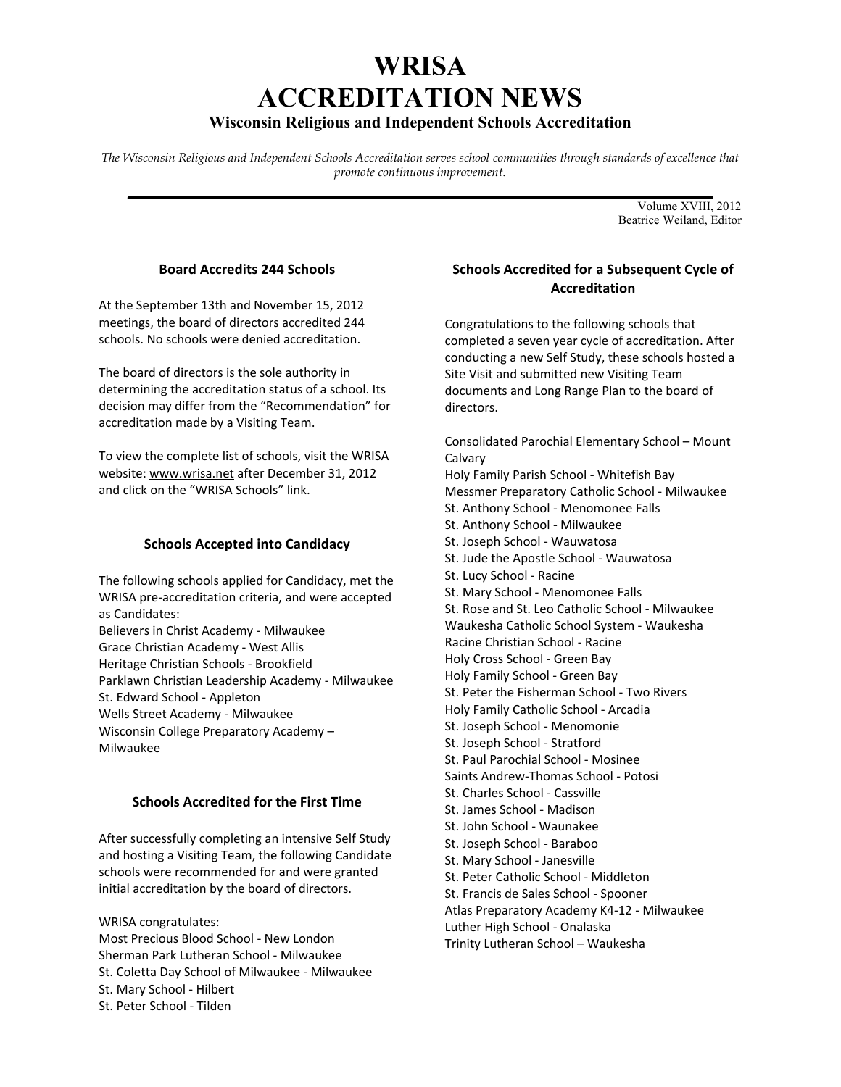# **WRISA ACCREDITATION NEWS**

# **Wisconsin Religious and Independent Schools Accreditation**

*The Wisconsin Religious and Independent Schools Accreditation serves school communities through standards of excellence that promote continuous improvement.*  **\_\_\_\_\_\_\_\_\_\_\_\_\_\_\_\_\_\_\_\_\_\_\_\_\_\_\_\_\_\_\_\_\_\_\_\_\_\_\_\_\_\_\_\_\_\_\_\_\_\_\_\_\_\_\_\_\_\_\_\_\_\_\_\_\_\_\_\_\_\_\_**

Volume XVIII, 2012 Beatrice Weiland, Editor

## **Board Accredits 244 Schools**

At the September 13th and November 15, 2012 meetings, the board of directors accredited 244 schools. No schools were denied accreditation.

The board of directors is the sole authority in determining the accreditation status of a school. Its decision may differ from the "Recommendation" for accreditation made by a Visiting Team.

To view the complete list of schools, visit the WRISA website: www.wrisa.net after December 31, 2012 and click on the "WRISA Schools" link.

### **Schools Accepted into Candidacy**

The following schools applied for Candidacy, met the WRISA pre‐accreditation criteria, and were accepted as Candidates: Believers in Christ Academy ‐ Milwaukee Grace Christian Academy ‐ West Allis Heritage Christian Schools ‐ Brookfield Parklawn Christian Leadership Academy ‐ Milwaukee St. Edward School ‐ Appleton Wells Street Academy ‐ Milwaukee Wisconsin College Preparatory Academy –

**Schools Accredited for the First Time**

Milwaukee

After successfully completing an intensive Self Study and hosting a Visiting Team, the following Candidate schools were recommended for and were granted initial accreditation by the board of directors.

WRISA congratulates: Most Precious Blood School ‐ New London Sherman Park Lutheran School ‐ Milwaukee St. Coletta Day School of Milwaukee ‐ Milwaukee St. Mary School ‐ Hilbert St. Peter School ‐ Tilden

# **Schools Accredited for a Subsequent Cycle of Accreditation**

Congratulations to the following schools that completed a seven year cycle of accreditation. After conducting a new Self Study, these schools hosted a Site Visit and submitted new Visiting Team documents and Long Range Plan to the board of directors.

Consolidated Parochial Elementary School – Mount Calvary

Holy Family Parish School ‐ Whitefish Bay Messmer Preparatory Catholic School ‐ Milwaukee St. Anthony School ‐ Menomonee Falls St. Anthony School ‐ Milwaukee St. Joseph School ‐ Wauwatosa St. Jude the Apostle School ‐ Wauwatosa St. Lucy School ‐ Racine St. Mary School ‐ Menomonee Falls St. Rose and St. Leo Catholic School ‐ Milwaukee Waukesha Catholic School System ‐ Waukesha Racine Christian School ‐ Racine Holy Cross School ‐ Green Bay Holy Family School ‐ Green Bay St. Peter the Fisherman School ‐ Two Rivers Holy Family Catholic School ‐ Arcadia St. Joseph School ‐ Menomonie St. Joseph School ‐ Stratford St. Paul Parochial School ‐ Mosinee Saints Andrew‐Thomas School ‐ Potosi St. Charles School ‐ Cassville St. James School ‐ Madison St. John School ‐ Waunakee St. Joseph School ‐ Baraboo St. Mary School ‐ Janesville St. Peter Catholic School ‐ Middleton St. Francis de Sales School ‐ Spooner Atlas Preparatory Academy K4‐12 ‐ Milwaukee Luther High School ‐ Onalaska Trinity Lutheran School – Waukesha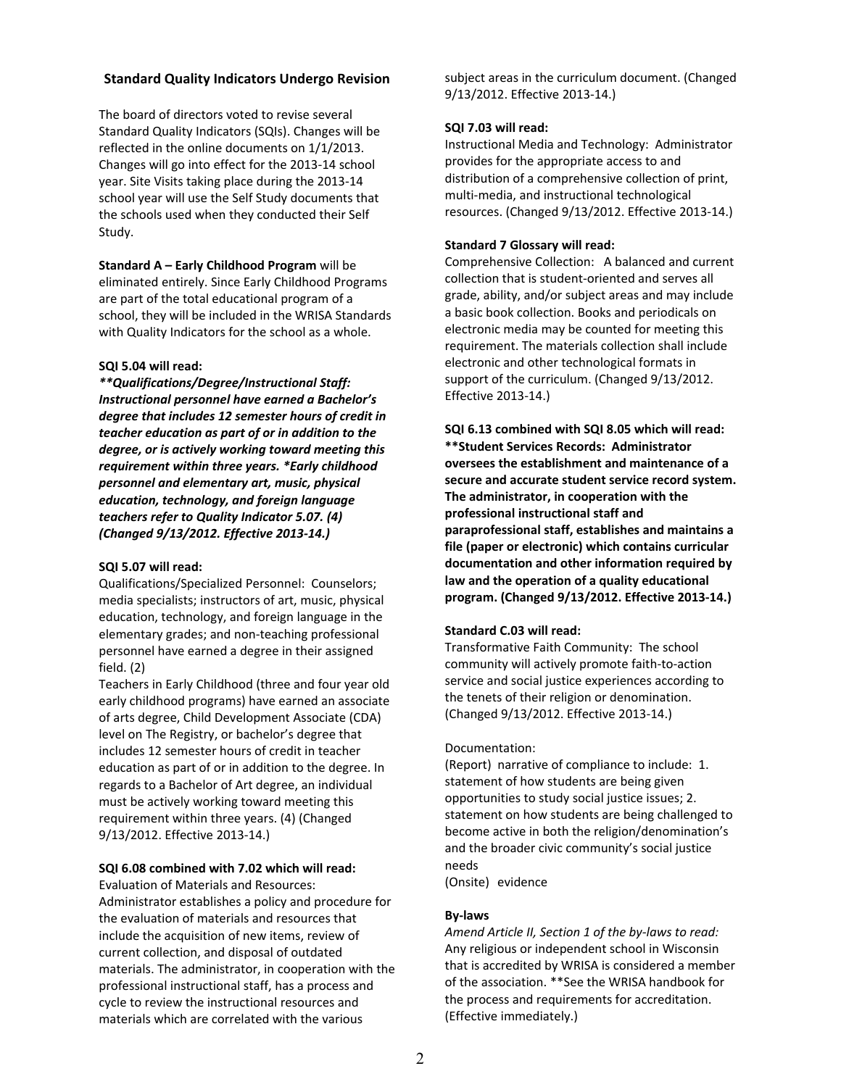### **Standard Quality Indicators Undergo Revision**

The board of directors voted to revise several Standard Quality Indicators (SQIs). Changes will be reflected in the online documents on 1/1/2013. Changes will go into effect for the 2013‐14 school year. Site Visits taking place during the 2013‐14 school year will use the Self Study documents that the schools used when they conducted their Self Study.

**Standard A – Early Childhood Program** will be eliminated entirely. Since Early Childhood Programs are part of the total educational program of a school, they will be included in the WRISA Standards with Quality Indicators for the school as a whole.

#### **SQI 5.04 will read:**

*\*\*Qualifications/Degree/Instructional Staff: Instructional personnel have earned a Bachelor's degree that includes 12 semester hours of credit in teacher education as part of or in addition to the degree, or is actively working toward meeting this requirement within three years. \*Early childhood personnel and elementary art, music, physical education, technology, and foreign language teachers refer to Quality Indicator 5.07. (4) (Changed 9/13/2012. Effective 2013‐14.)*

#### **SQI 5.07 will read:**

Qualifications/Specialized Personnel: Counselors; media specialists; instructors of art, music, physical education, technology, and foreign language in the elementary grades; and non‐teaching professional personnel have earned a degree in their assigned field. (2)

Teachers in Early Childhood (three and four year old early childhood programs) have earned an associate of arts degree, Child Development Associate (CDA) level on The Registry, or bachelor's degree that includes 12 semester hours of credit in teacher education as part of or in addition to the degree. In regards to a Bachelor of Art degree, an individual must be actively working toward meeting this requirement within three years. (4) (Changed 9/13/2012. Effective 2013‐14.)

#### **SQI 6.08 combined with 7.02 which will read:**

Evaluation of Materials and Resources: Administrator establishes a policy and procedure for the evaluation of materials and resources that include the acquisition of new items, review of current collection, and disposal of outdated materials. The administrator, in cooperation with the professional instructional staff, has a process and cycle to review the instructional resources and materials which are correlated with the various

subject areas in the curriculum document. (Changed 9/13/2012. Effective 2013‐14.)

#### **SQI 7.03 will read:**

Instructional Media and Technology: Administrator provides for the appropriate access to and distribution of a comprehensive collection of print, multi‐media, and instructional technological resources. (Changed 9/13/2012. Effective 2013‐14.)

#### **Standard 7 Glossary will read:**

Comprehensive Collection: A balanced and current collection that is student‐oriented and serves all grade, ability, and/or subject areas and may include a basic book collection. Books and periodicals on electronic media may be counted for meeting this requirement. The materials collection shall include electronic and other technological formats in support of the curriculum. (Changed 9/13/2012. Effective 2013‐14.)

**SQI 6.13 combined with SQI 8.05 which will read: \*\*Student Services Records: Administrator oversees the establishment and maintenance of a secure and accurate student service record system. The administrator, in cooperation with the professional instructional staff and paraprofessional staff, establishes and maintains a file (paper or electronic) which contains curricular documentation and other information required by law and the operation of a quality educational program. (Changed 9/13/2012. Effective 2013‐14.)**

#### **Standard C.03 will read:**

Transformative Faith Community: The school community will actively promote faith‐to‐action service and social justice experiences according to the tenets of their religion or denomination. (Changed 9/13/2012. Effective 2013‐14.)

#### Documentation:

(Report) narrative of compliance to include: 1. statement of how students are being given opportunities to study social justice issues; 2. statement on how students are being challenged to become active in both the religion/denomination's and the broader civic community's social justice needs

(Onsite) evidence

#### **By‐laws**

*Amend Article II, Section 1 of the by‐laws to read:* Any religious or independent school in Wisconsin that is accredited by WRISA is considered a member of the association. \*\*See the WRISA handbook for the process and requirements for accreditation. (Effective immediately.)